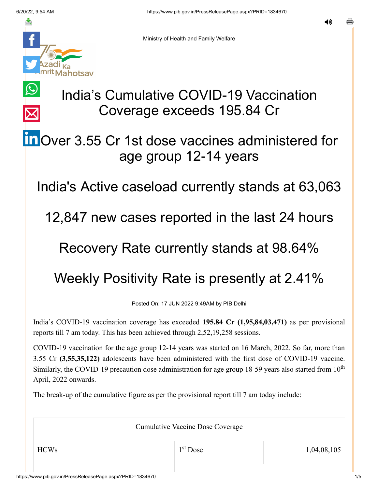$\bigcirc$ 

 $\overline{\times}$ 



Ministry of Health and Family Welfare

# India's Cumulative COVID-19 Vaccination Coverage exceeds 195.84 Cr

# **in** [O](https://www.linkedin.com/shareArticle?mini=true&url=https://pib.gov.in/PressReleasePage.aspx?PRID=1834670&title=India%E2%80%99s%20Cumulative%20COVID-19%20Vaccination%20Coverage%20exceeds%20195.84%20Cr&summary=My%20favorite%20developer%20program&source=LinkedIn)ver 3.55 Cr 1st dose vaccines administered for age group 12-14 years

India's Active caseload currently stands at 63,063

12,847 new cases reported in the last 24 hours

### Recovery Rate currently stands at 98.64%

## Weekly Positivity Rate is presently at 2.41%

Posted On: 17 JUN 2022 9:49AM by PIB Delhi

India's COVID-19 vaccination coverage has exceeded **195.84 Cr (1,95,84,03,471)** as per provisional reports till 7 am today. This has been achieved through 2,52,19,258 sessions.

COVID-19 vaccination for the age group 12-14 years was started on 16 March, 2022. So far, more than 3.55 Cr **(3,55,35,122)** adolescents have been administered with the first dose of COVID-19 vaccine. Similarly, the COVID-19 precaution dose administration for age group 18-59 years also started from  $10<sup>th</sup>$ April, 2022 onwards.

The break-up of the cumulative figure as per the provisional report till 7 am today include:

Cumulative Vaccine Dose Coverage

1<sup>st</sup> Dose

 $HCWs$  1,04,08,105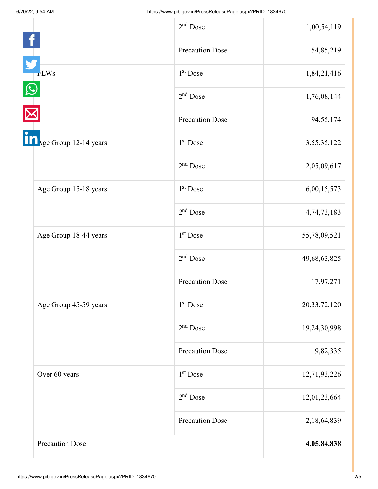|                        | $2nd$ Dose             | 1,00,54,119     |
|------------------------|------------------------|-----------------|
|                        | <b>Precaution Dose</b> | 54,85,219       |
| <b>FLWs</b>            | 1 <sup>st</sup> Dose   | 1,84,21,416     |
|                        | $2nd$ Dose             | 1,76,08,144     |
|                        | <b>Precaution Dose</b> | 94,55,174       |
| Age Group 12-14 years  | 1 <sup>st</sup> Dose   | 3,55,35,122     |
|                        | $2nd$ Dose             | 2,05,09,617     |
| Age Group 15-18 years  | 1 <sup>st</sup> Dose   | 6,00,15,573     |
|                        | $2nd$ Dose             | 4,74,73,183     |
| Age Group 18-44 years  | 1 <sup>st</sup> Dose   | 55,78,09,521    |
|                        | $2nd$ Dose             | 49,68,63,825    |
|                        | <b>Precaution Dose</b> | 17,97,271       |
| Age Group 45-59 years  | 1 <sup>st</sup> Dose   | 20, 33, 72, 120 |
|                        | $2nd$ Dose             | 19,24,30,998    |
|                        | <b>Precaution Dose</b> | 19,82,335       |
| Over 60 years          | $1st$ Dose             | 12,71,93,226    |
|                        | $2nd$ Dose             | 12,01,23,664    |
|                        | <b>Precaution Dose</b> | 2,18,64,839     |
| <b>Precaution Dose</b> |                        | 4,05,84,838     |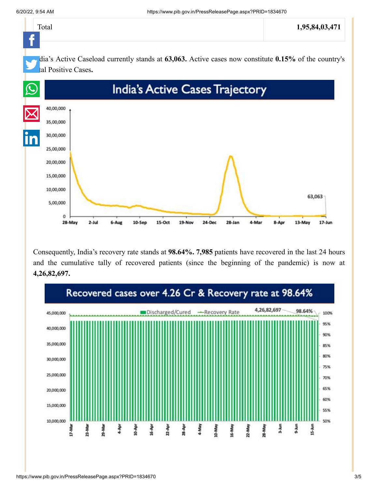

Consequently, India's recovery rate stands at **98.64%. 7,985** patients have recovered in the last 24 hours and the cumulative tally of recovered patients (since the beginning of the pandemic) is now at **4,26,82,697.**

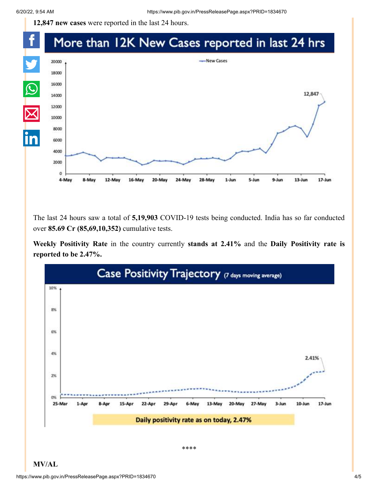**12,847 new cases** were reported in the last 24 hours.

#### f More than 12K New Cases reported in last 24 hrs Y -New Cases 20000 18000  $\Omega$ 16000 12,847 14000  $\overline{\boxtimes}$ 12000 10000 8000 6000 4000 2000  $\alpha$ 5-Jun  $13$ -Jun  $17 - Jun$ 4-May 8-May 12-May 16-May 20-May 24-May  $1$ -Jun  $9 - Jun$ 28-May

The last 24 hours saw a total of **5,19,903** COVID-19 tests being conducted. India has so far conducted over **85.69 Cr (85,69,10,352)** cumulative tests.

**Weekly Positivity Rate** in the country currently **stands at 2.41%** and the **Daily Positivity rate is reported to be 2.47%.**